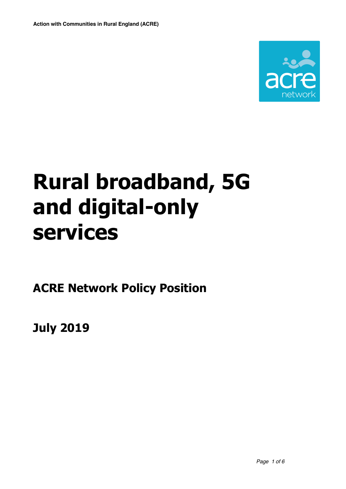

# **Rural broadband, 5G and digital-only services**

**ACRE Network Policy Position**

**July 2019**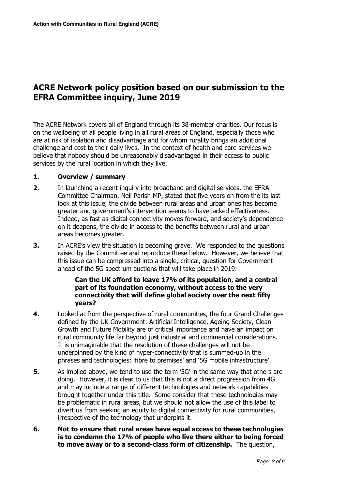# **ACRE Network policy position based on our submission to the EFRA Committee inquiry, June 2019**

The ACRE Network covers all of England through its 38-member charities. Our focus is on the wellbeing of all people living in all rural areas of England, especially those who are at risk of isolation and disadvantage and for whom rurality brings an additional challenge and cost to their daily lives. In the context of health and care services we believe that nobody should be unreasonably disadvantaged in their access to public services by the rural location in which they live.

## **1. Overview / summary**

- **2.** In launching a recent inquiry into broadband and digital services, the EFRA Committee Chairman, Neil Parish MP, stated that five years on from the its last look at this issue, the divide between rural areas and urban ones has become greater and government's intervention seems to have lacked effectiveness. Indeed, as fast as digital connectivity moves forward, and society's dependence on it deepens, the divide in access to the benefits between rural and urban areas becomes greater.
- **3.** In ACRE's view the situation is becoming grave. We responded to the questions raised by the Committee and reproduce these below. However, we believe that this issue can be compressed into a single, critical, question for Government ahead of the 5G spectrum auctions that will take place in 2019:

## **Can the UK afford to leave 17% of its population, and a central part of its foundation economy, without access to the very connectivity that will define global society over the next fifty years?**

- **4.** Looked at from the perspective of rural communities, the four Grand Challenges defined by the UK Government: Artificial Intelligence, Ageing Society, Clean Growth and Future Mobility are of critical importance and have an impact on rural community life far beyond just industrial and commercial considerations. It is unimaginable that the resolution of these challenges will not be underpinned by the kind of hyper-connectivity that is summed-up in the phrases and technologies: 'fibre to premises' and '5G mobile infrastructure'.
- **5.** As implied above, we tend to use the term '5G' in the same way that others are doing. However, it is clear to us that this is not a direct progression from 4G and may include a range of different technologies and network capabilities brought together under this title. Some consider that these technologies may be problematic in rural areas, but we should not allow the use of this label to divert us from seeking an equity to digital connectivity for rural communities, irrespective of the technology that underpins it.
- **6. Not to ensure that rural areas have equal access to these technologies is to condemn the 17% of people who live there either to being forced to move away or to a second-class form of citizenship.** The question,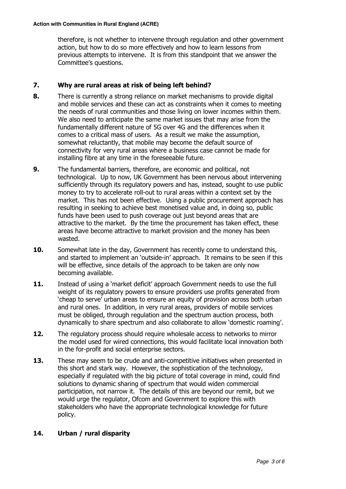therefore, is not whether to intervene through regulation and other government action, but how to do so more effectively and how to learn lessons from previous attempts to intervene. It is from this standpoint that we answer the Committee's questions.

# **7. Why are rural areas at risk of being left behind?**

- **8.** There is currently a strong reliance on market mechanisms to provide digital and mobile services and these can act as constraints when it comes to meeting the needs of rural communities and those living on lower incomes within them. We also need to anticipate the same market issues that may arise from the fundamentally different nature of 5G over 4G and the differences when it comes to a critical mass of users. As a result we make the assumption, somewhat reluctantly, that mobile may become the default source of connectivity for very rural areas where a business case cannot be made for installing fibre at any time in the foreseeable future.
- **9.** The fundamental barriers, therefore, are economic and political, not technological. Up to now, UK Government has been nervous about intervening sufficiently through its regulatory powers and has, instead, sought to use public money to try to accelerate roll-out to rural areas within a context set by the market. This has not been effective. Using a public procurement approach has resulting in seeking to achieve best monetised value and, in doing so, public funds have been used to push coverage out just beyond areas that are attractive to the market. By the time the procurement has taken effect, these areas have become attractive to market provision and the money has been wasted.
- **10.** Somewhat late in the day, Government has recently come to understand this, and started to implement an 'outside-in' approach. It remains to be seen if this will be effective, since details of the approach to be taken are only now becoming available.
- **11.** Instead of using a 'market deficit' approach Government needs to use the full weight of its regulatory powers to ensure providers use profits generated from 'cheap to serve' urban areas to ensure an equity of provision across both urban and rural ones. In addition, in very rural areas, providers of mobile services must be obliged, through regulation and the spectrum auction process, both dynamically to share spectrum and also collaborate to allow 'domestic roaming'.
- **12.** The regulatory process should require wholesale access to networks to mirror the model used for wired connections, this would facilitate local innovation both in the for-profit and social enterprise sectors.
- **13.** These may seem to be crude and anti-competitive initiatives when presented in this short and stark way. However, the sophistication of the technology, especially if regulated with the big picture of total coverage in mind, could find solutions to dynamic sharing of spectrum that would widen commercial participation, not narrow it. The details of this are beyond our remit, but we would urge the regulator, Ofcom and Government to explore this with stakeholders who have the appropriate technological knowledge for future policy.

# **14. Urban / rural disparity**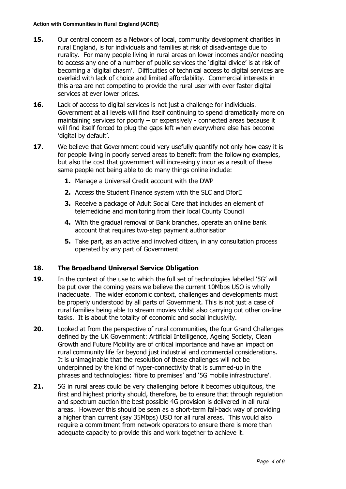- **15.** Our central concern as a Network of local, community development charities in rural England, is for individuals and families at risk of disadvantage due to rurality. For many people living in rural areas on lower incomes and/or needing to access any one of a number of public services the 'digital divide' is at risk of becoming a 'digital chasm'. Difficulties of technical access to digital services are overlaid with lack of choice and limited affordability. Commercial interests in this area are not competing to provide the rural user with ever faster digital services at ever lower prices.
- **16.** Lack of access to digital services is not just a challenge for individuals. Government at all levels will find itself continuing to spend dramatically more on maintaining services for poorly – or expensively - connected areas because it will find itself forced to plug the gaps left when everywhere else has become 'digital by default'.
- **17.** We believe that Government could very usefully quantify not only how easy it is for people living in poorly served areas to benefit from the following examples, but also the cost that government will increasingly incur as a result of these same people not being able to do many things online include:
	- **1.** Manage a Universal Credit account with the DWP
	- **2.** Access the Student Finance system with the SLC and DforE
	- **3.** Receive a package of Adult Social Care that includes an element of telemedicine and monitoring from their local County Council
	- **4.** With the gradual removal of Bank branches, operate an online bank account that requires two-step payment authorisation
	- **5.** Take part, as an active and involved citizen, in any consultation process operated by any part of Government

# **18. The Broadband Universal Service Obligation**

- **19.** In the context of the use to which the full set of technologies labelled '5G' will be put over the coming years we believe the current 10Mbps USO is wholly inadequate. The wider economic context, challenges and developments must be properly understood by all parts of Government. This is not just a case of rural families being able to stream movies whilst also carrying out other on-line tasks. It is about the totality of economic and social inclusivity.
- **20.** Looked at from the perspective of rural communities, the four Grand Challenges defined by the UK Government: Artificial Intelligence, Ageing Society, Clean Growth and Future Mobility are of critical importance and have an impact on rural community life far beyond just industrial and commercial considerations. It is unimaginable that the resolution of these challenges will not be underpinned by the kind of hyper-connectivity that is summed-up in the phrases and technologies: 'fibre to premises' and '5G mobile infrastructure'.
- **21.** 5G in rural areas could be very challenging before it becomes ubiquitous, the first and highest priority should, therefore, be to ensure that through regulation and spectrum auction the best possible 4G provision is delivered in all rural areas. However this should be seen as a short-term fall-back way of providing a higher than current (say 35Mbps) USO for all rural areas. This would also require a commitment from network operators to ensure there is more than adequate capacity to provide this and work together to achieve it.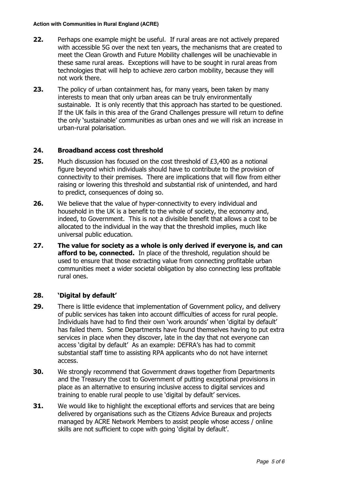#### **Action with Communities in Rural England (ACRE)**

- **22.** Perhaps one example might be useful. If rural areas are not actively prepared with accessible 5G over the next ten years, the mechanisms that are created to meet the Clean Growth and Future Mobility challenges will be unachievable in these same rural areas. Exceptions will have to be sought in rural areas from technologies that will help to achieve zero carbon mobility, because they will not work there.
- **23.** The policy of urban containment has, for many years, been taken by many interests to mean that only urban areas can be truly environmentally sustainable. It is only recently that this approach has started to be questioned. If the UK fails in this area of the Grand Challenges pressure will return to define the only 'sustainable' communities as urban ones and we will risk an increase in urban-rural polarisation.

## **24. Broadband access cost threshold**

- **25.** Much discussion has focused on the cost threshold of £3,400 as a notional figure beyond which individuals should have to contribute to the provision of connectivity to their premises. There are implications that will flow from either raising or lowering this threshold and substantial risk of unintended, and hard to predict, consequences of doing so.
- **26.** We believe that the value of hyper-connectivity to every individual and household in the UK is a benefit to the whole of society, the economy and, indeed, to Government. This is not a divisible benefit that allows a cost to be allocated to the individual in the way that the threshold implies, much like universal public education.
- **27. The value for society as a whole is only derived if everyone is, and can afford to be, connected.** In place of the threshold, regulation should be used to ensure that those extracting value from connecting profitable urban communities meet a wider societal obligation by also connecting less profitable rural ones.

# **28. 'Digital by default'**

- **29.** There is little evidence that implementation of Government policy, and delivery of public services has taken into account difficulties of access for rural people. Individuals have had to find their own 'work arounds' when 'digital by default' has failed them. Some Departments have found themselves having to put extra services in place when they discover, late in the day that not everyone can access 'digital by default' As an example: DEFRA's has had to commit substantial staff time to assisting RPA applicants who do not have internet access.
- **30.** We strongly recommend that Government draws together from Departments and the Treasury the cost to Government of putting exceptional provisions in place as an alternative to ensuring inclusive access to digital services and training to enable rural people to use 'digital by default' services.
- **31.** We would like to highlight the exceptional efforts and services that are being delivered by organisations such as the Citizens Advice Bureaux and projects managed by ACRE Network Members to assist people whose access / online skills are not sufficient to cope with going 'digital by default'.